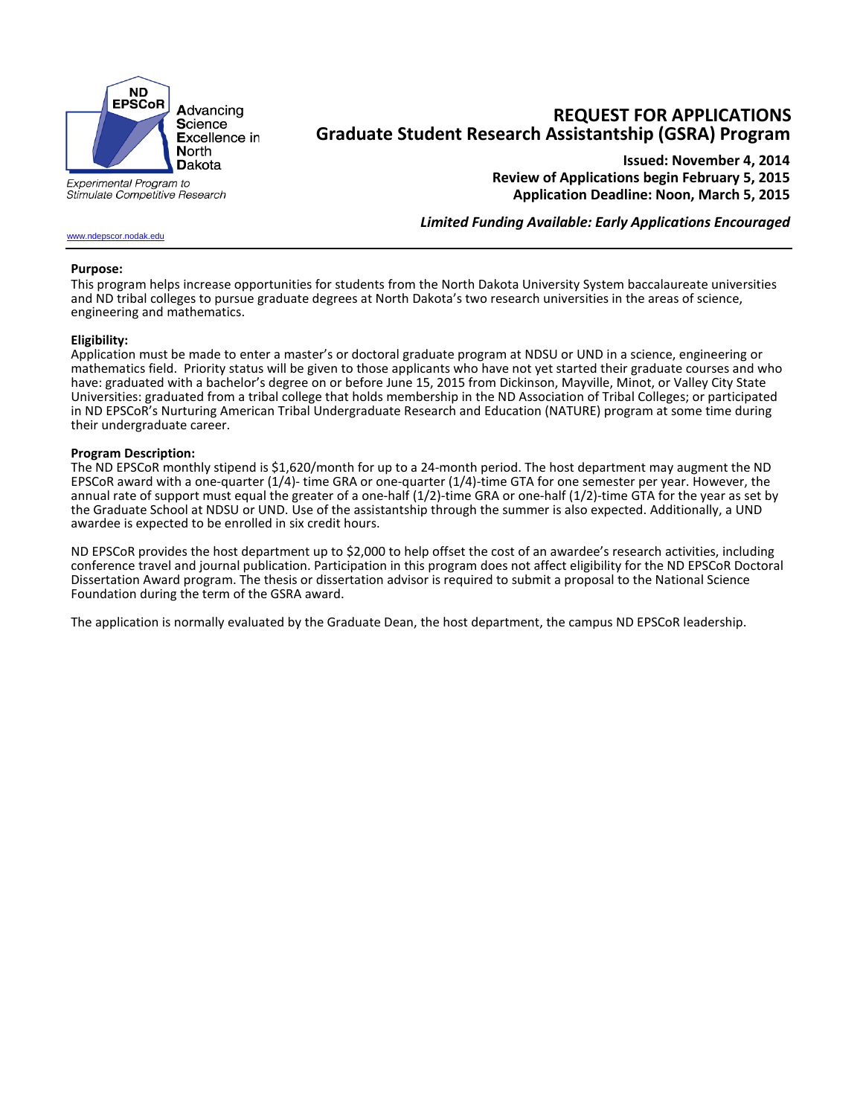

Stimulate Competitive Research

**REQUEST FOR APPLICATIONS Graduate Student Research Assistantship (GSRA) Program**

**Issued: November 4, 2014 Review of Applications begin February 5, 2015 Application Deadline: Noon, March 5, 2015**

*Limited Funding Available: Early Applications Encouraged*

### [www.ndepscor.nodak.edu](http://www.ndepscor.nodak.edu/)

#### **Purpose:**

This program helps increase opportunities for students from the North Dakota University System baccalaureate universities and ND tribal colleges to pursue graduate degrees at North Dakota's two research universities in the areas of science, engineering and mathematics.

#### **Eligibility:**

Application must be made to enter a master's or doctoral graduate program at NDSU or UND in a science, engineering or mathematics field. Priority status will be given to those applicants who have not yet started their graduate courses and who have: graduated with a bachelor's degree on or before June 15, 2015 from Dickinson, Mayville, Minot, or Valley City State Universities: graduated from a tribal college that holds membership in the ND Association of Tribal Colleges; or participated in ND EPSCoR's Nurturing American Tribal Undergraduate Research and Education (NATURE) program at some time during their undergraduate career.

#### **Program Description:**

The ND EPSCoR monthly stipend is \$1,620/month for up to a 24-month period. The host department may augment the ND EPSCoR award with a one-quarter (1/4)- time GRA or one-quarter (1/4)-time GTA for one semester per year. However, the annual rate of support must equal the greater of a one-half (1/2)-time GRA or one-half (1/2)-time GTA for the year as set by the Graduate School at NDSU or UND. Use of the assistantship through the summer is also expected. Additionally, a UND awardee is expected to be enrolled in six credit hours.

ND EPSCoR provides the host department up to \$2,000 to help offset the cost of an awardee's research activities, including conference travel and journal publication. Participation in this program does not affect eligibility for the ND EPSCoR Doctoral Dissertation Award program. The thesis or dissertation advisor is required to submit a proposal to the National Science Foundation during the term of the GSRA award.

The application is normally evaluated by the Graduate Dean, the host department, the campus ND EPSCoR leadership.